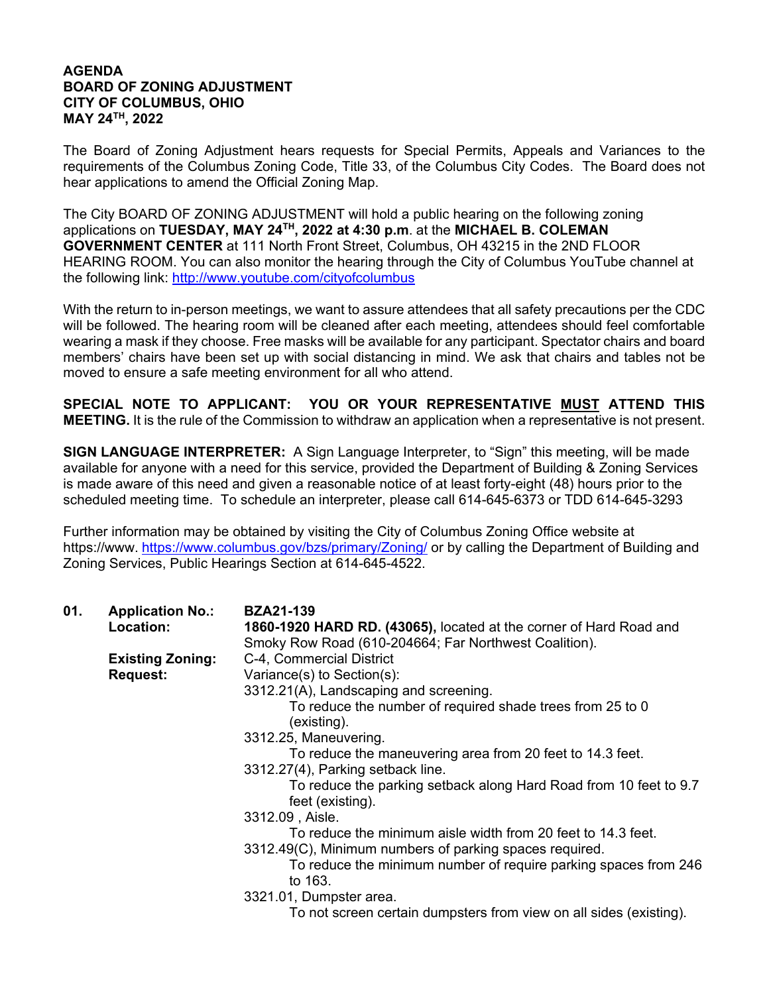## **AGENDA BOARD OF ZONING ADJUSTMENT CITY OF COLUMBUS, OHIO MAY 24TH, 2022**

The Board of Zoning Adjustment hears requests for Special Permits, Appeals and Variances to the requirements of the Columbus Zoning Code, Title 33, of the Columbus City Codes. The Board does not hear applications to amend the Official Zoning Map.

The City BOARD OF ZONING ADJUSTMENT will hold a public hearing on the following zoning applications on **TUESDAY, MAY 24TH, 2022 at 4:30 p.m**. at the **MICHAEL B. COLEMAN GOVERNMENT CENTER** at 111 North Front Street, Columbus, OH 43215 in the 2ND FLOOR HEARING ROOM. You can also monitor the hearing through the City of Columbus YouTube channel at the following link: http://www.youtube.com/cityofcolumbus

With the return to in-person meetings, we want to assure attendees that all safety precautions per the CDC will be followed. The hearing room will be cleaned after each meeting, attendees should feel comfortable wearing a mask if they choose. Free masks will be available for any participant. Spectator chairs and board members' chairs have been set up with social distancing in mind. We ask that chairs and tables not be moved to ensure a safe meeting environment for all who attend.

**SPECIAL NOTE TO APPLICANT: YOU OR YOUR REPRESENTATIVE MUST ATTEND THIS MEETING.** It is the rule of the Commission to withdraw an application when a representative is not present.

**SIGN LANGUAGE INTERPRETER:** A Sign Language Interpreter, to "Sign" this meeting, will be made available for anyone with a need for this service, provided the Department of Building & Zoning Services is made aware of this need and given a reasonable notice of at least forty-eight (48) hours prior to the scheduled meeting time. To schedule an interpreter, please call 614-645-6373 or TDD 614-645-3293

Further information may be obtained by visiting the City of Columbus Zoning Office website at https://www. https://www.columbus.gov/bzs/primary/Zoning/ or by calling the Department of Building and Zoning Services, Public Hearings Section at 614-645-4522.

| 01. | <b>Application No.:</b><br>Location: | <b>BZA21-139</b><br>1860-1920 HARD RD. (43065), located at the corner of Hard Road and<br>Smoky Row Road (610-204664; Far Northwest Coalition). |
|-----|--------------------------------------|-------------------------------------------------------------------------------------------------------------------------------------------------|
|     | <b>Existing Zoning:</b>              | C-4, Commercial District                                                                                                                        |
|     | <b>Request:</b>                      | Variance(s) to Section(s):                                                                                                                      |
|     |                                      | 3312.21(A), Landscaping and screening.                                                                                                          |
|     |                                      | To reduce the number of required shade trees from 25 to 0<br>(existing).                                                                        |
|     |                                      | 3312.25, Maneuvering.                                                                                                                           |
|     |                                      | To reduce the maneuvering area from 20 feet to 14.3 feet.                                                                                       |
|     |                                      | 3312.27(4), Parking setback line.                                                                                                               |
|     |                                      | To reduce the parking setback along Hard Road from 10 feet to 9.7<br>feet (existing).                                                           |
|     |                                      | 3312.09, Aisle.                                                                                                                                 |
|     |                                      | To reduce the minimum aisle width from 20 feet to 14.3 feet.<br>3312.49(C), Minimum numbers of parking spaces required.                         |
|     |                                      | To reduce the minimum number of require parking spaces from 246<br>to 163.                                                                      |
|     |                                      | 3321.01, Dumpster area.                                                                                                                         |
|     |                                      | To not screen certain dumpsters from view on all sides (existing).                                                                              |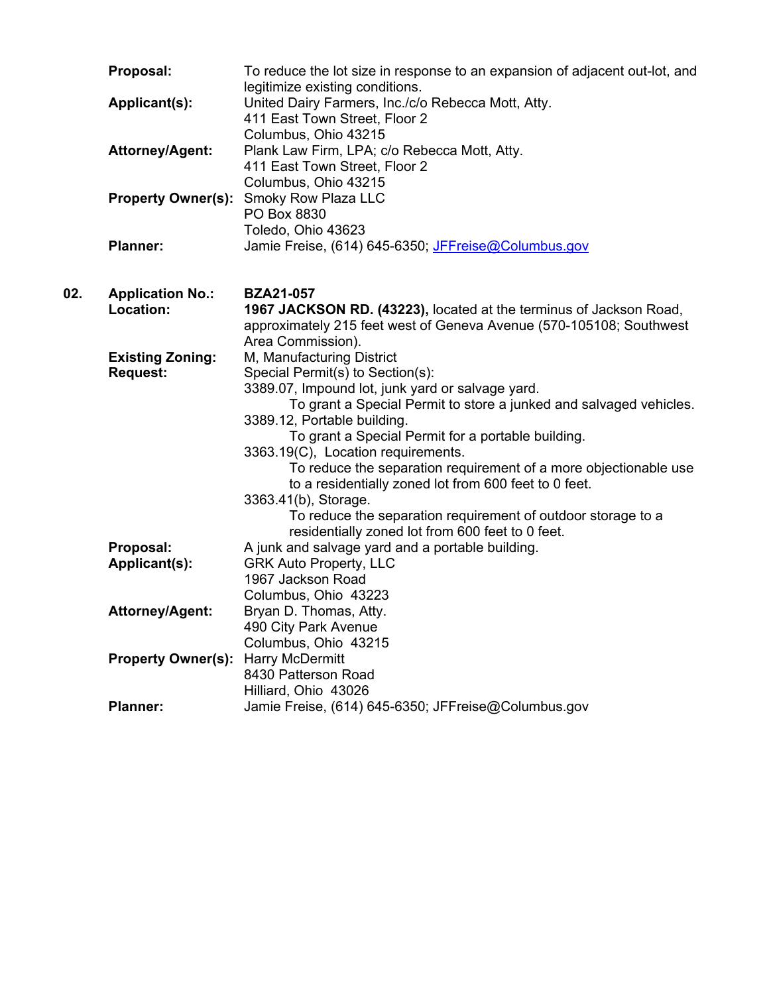|     | Proposal:                                  | To reduce the lot size in response to an expansion of adjacent out-lot, and<br>legitimize existing conditions.                                                                                                                                                                                                                          |
|-----|--------------------------------------------|-----------------------------------------------------------------------------------------------------------------------------------------------------------------------------------------------------------------------------------------------------------------------------------------------------------------------------------------|
|     | <b>Applicant(s):</b>                       | United Dairy Farmers, Inc./c/o Rebecca Mott, Atty.<br>411 East Town Street, Floor 2                                                                                                                                                                                                                                                     |
|     | <b>Attorney/Agent:</b>                     | Columbus, Ohio 43215<br>Plank Law Firm, LPA; c/o Rebecca Mott, Atty.<br>411 East Town Street, Floor 2                                                                                                                                                                                                                                   |
|     |                                            | Columbus, Ohio 43215<br>Property Owner(s): Smoky Row Plaza LLC<br>PO Box 8830                                                                                                                                                                                                                                                           |
|     | <b>Planner:</b>                            | Toledo, Ohio 43623<br>Jamie Freise, (614) 645-6350; JFFreise@Columbus.gov                                                                                                                                                                                                                                                               |
| 02. | <b>Application No.:</b><br>Location:       | <b>BZA21-057</b><br>1967 JACKSON RD. (43223), located at the terminus of Jackson Road,<br>approximately 215 feet west of Geneva Avenue (570-105108; Southwest                                                                                                                                                                           |
|     | <b>Existing Zoning:</b><br><b>Request:</b> | Area Commission).<br>M, Manufacturing District<br>Special Permit(s) to Section(s):<br>3389.07, Impound lot, junk yard or salvage yard.<br>To grant a Special Permit to store a junked and salvaged vehicles.<br>3389.12, Portable building.<br>To grant a Special Permit for a portable building.<br>3363.19(C), Location requirements. |
|     |                                            | To reduce the separation requirement of a more objectionable use<br>to a residentially zoned lot from 600 feet to 0 feet.<br>3363.41(b), Storage.<br>To reduce the separation requirement of outdoor storage to a<br>residentially zoned lot from 600 feet to 0 feet.                                                                   |
|     | Proposal:                                  | A junk and salvage yard and a portable building.                                                                                                                                                                                                                                                                                        |
|     | Applicant(s):                              | <b>GRK Auto Property, LLC</b>                                                                                                                                                                                                                                                                                                           |
|     |                                            | 1967 Jackson Road<br>Columbus, Ohio 43223                                                                                                                                                                                                                                                                                               |
|     | Attorney/Agent:                            | Bryan D. Thomas, Atty.<br>490 City Park Avenue                                                                                                                                                                                                                                                                                          |
|     | <b>Property Owner(s): Harry McDermitt</b>  | Columbus, Ohio 43215<br>8430 Patterson Road<br>Hilliard, Ohio 43026                                                                                                                                                                                                                                                                     |
|     | <b>Planner:</b>                            | Jamie Freise, (614) 645-6350; JFFreise@Columbus.gov                                                                                                                                                                                                                                                                                     |
|     |                                            |                                                                                                                                                                                                                                                                                                                                         |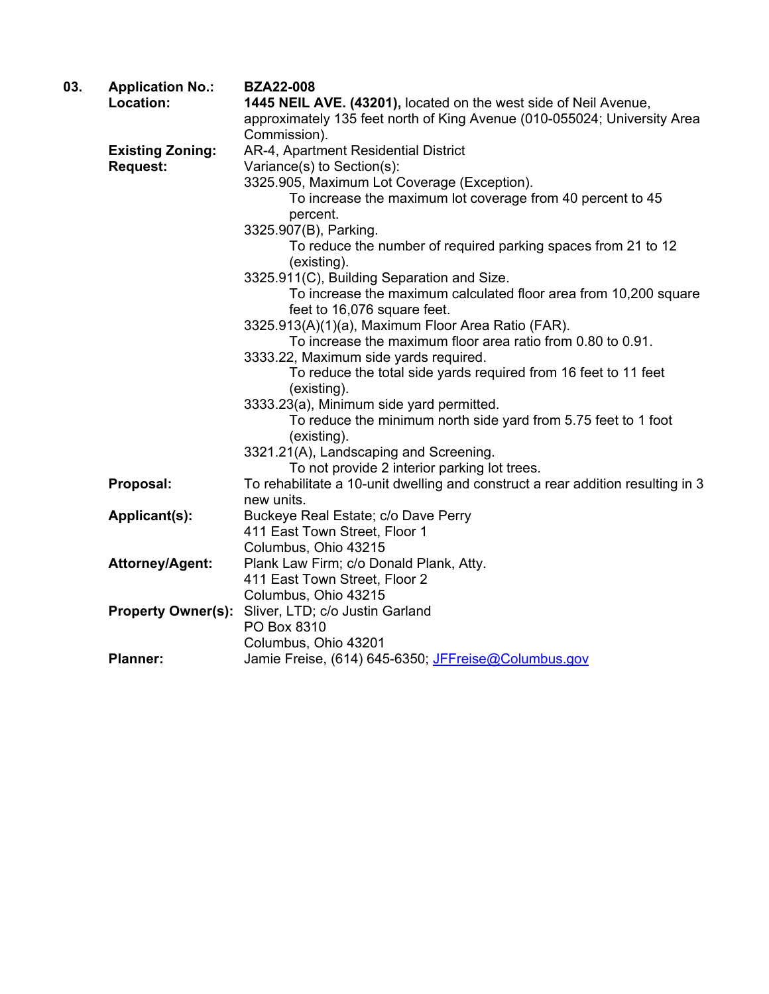| 03. | <b>Application No.:</b>   | <b>BZA22-008</b>                                                                |
|-----|---------------------------|---------------------------------------------------------------------------------|
|     | Location:                 | 1445 NEIL AVE. (43201), located on the west side of Neil Avenue,                |
|     |                           | approximately 135 feet north of King Avenue (010-055024; University Area        |
|     |                           | Commission).                                                                    |
|     | <b>Existing Zoning:</b>   | AR-4, Apartment Residential District                                            |
|     | <b>Request:</b>           | Variance(s) to Section(s):                                                      |
|     |                           | 3325.905, Maximum Lot Coverage (Exception).                                     |
|     |                           | To increase the maximum lot coverage from 40 percent to 45                      |
|     |                           | percent.                                                                        |
|     |                           | 3325.907(B), Parking.                                                           |
|     |                           | To reduce the number of required parking spaces from 21 to 12                   |
|     |                           | (existing).                                                                     |
|     |                           | 3325.911(C), Building Separation and Size.                                      |
|     |                           | To increase the maximum calculated floor area from 10,200 square                |
|     |                           | feet to 16,076 square feet.                                                     |
|     |                           | 3325.913(A)(1)(a), Maximum Floor Area Ratio (FAR).                              |
|     |                           | To increase the maximum floor area ratio from 0.80 to 0.91.                     |
|     |                           | 3333.22, Maximum side yards required.                                           |
|     |                           | To reduce the total side yards required from 16 feet to 11 feet                 |
|     |                           | (existing).                                                                     |
|     |                           | 3333.23(a), Minimum side yard permitted.                                        |
|     |                           | To reduce the minimum north side yard from 5.75 feet to 1 foot                  |
|     |                           | (existing).                                                                     |
|     |                           | 3321.21(A), Landscaping and Screening.                                          |
|     |                           | To not provide 2 interior parking lot trees.                                    |
|     | Proposal:                 | To rehabilitate a 10-unit dwelling and construct a rear addition resulting in 3 |
|     |                           | new units.                                                                      |
|     | Applicant(s):             | Buckeye Real Estate; c/o Dave Perry                                             |
|     |                           | 411 East Town Street, Floor 1                                                   |
|     |                           | Columbus, Ohio 43215                                                            |
|     | <b>Attorney/Agent:</b>    | Plank Law Firm; c/o Donald Plank, Atty.                                         |
|     |                           | 411 East Town Street, Floor 2                                                   |
|     |                           | Columbus, Ohio 43215                                                            |
|     | <b>Property Owner(s):</b> | Sliver, LTD; c/o Justin Garland                                                 |
|     |                           | PO Box 8310                                                                     |
|     |                           | Columbus, Ohio 43201                                                            |
|     | <b>Planner:</b>           | Jamie Freise, (614) 645-6350; JFFreise@Columbus.gov                             |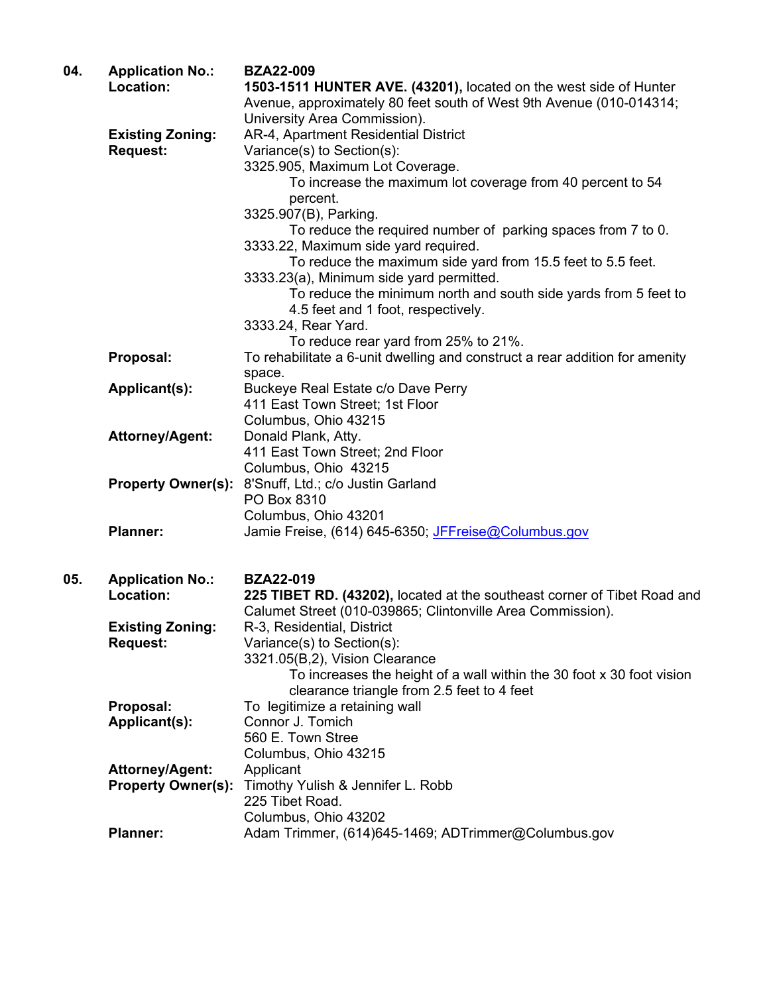| 04. | <b>Application No.:</b><br>Location: | <b>BZA22-009</b><br>1503-1511 HUNTER AVE. (43201), located on the west side of Hunter<br>Avenue, approximately 80 feet south of West 9th Avenue (010-014314; |
|-----|--------------------------------------|--------------------------------------------------------------------------------------------------------------------------------------------------------------|
|     |                                      | University Area Commission).                                                                                                                                 |
|     | <b>Existing Zoning:</b>              | AR-4, Apartment Residential District                                                                                                                         |
|     | <b>Request:</b>                      | Variance(s) to Section(s):<br>3325.905, Maximum Lot Coverage.                                                                                                |
|     |                                      | To increase the maximum lot coverage from 40 percent to 54                                                                                                   |
|     |                                      | percent.                                                                                                                                                     |
|     |                                      | 3325.907(B), Parking.                                                                                                                                        |
|     |                                      | To reduce the required number of parking spaces from 7 to 0.                                                                                                 |
|     |                                      | 3333.22, Maximum side yard required.<br>To reduce the maximum side yard from 15.5 feet to 5.5 feet.                                                          |
|     |                                      | 3333.23(a), Minimum side yard permitted.                                                                                                                     |
|     |                                      | To reduce the minimum north and south side yards from 5 feet to                                                                                              |
|     |                                      | 4.5 feet and 1 foot, respectively.                                                                                                                           |
|     |                                      | 3333.24, Rear Yard.                                                                                                                                          |
|     |                                      | To reduce rear yard from 25% to 21%.                                                                                                                         |
|     | Proposal:                            | To rehabilitate a 6-unit dwelling and construct a rear addition for amenity<br>space.                                                                        |
|     | Applicant(s):                        | Buckeye Real Estate c/o Dave Perry                                                                                                                           |
|     |                                      | 411 East Town Street; 1st Floor                                                                                                                              |
|     |                                      | Columbus, Ohio 43215                                                                                                                                         |
|     | <b>Attorney/Agent:</b>               | Donald Plank, Atty.                                                                                                                                          |
|     |                                      | 411 East Town Street; 2nd Floor                                                                                                                              |
|     | <b>Property Owner(s):</b>            | Columbus, Ohio 43215<br>8'Snuff, Ltd.; c/o Justin Garland                                                                                                    |
|     |                                      | PO Box 8310                                                                                                                                                  |
|     |                                      | Columbus, Ohio 43201                                                                                                                                         |
|     | <b>Planner:</b>                      | Jamie Freise, (614) 645-6350; JFFreise@Columbus.gov                                                                                                          |
|     |                                      | <b>BZA22-019</b>                                                                                                                                             |
| 05. | <b>Application No.:</b><br>Location: | 225 TIBET RD. (43202), located at the southeast corner of Tibet Road and                                                                                     |
|     |                                      | Calumet Street (010-039865; Clintonville Area Commission).                                                                                                   |
|     | <b>Existing Zoning:</b>              | R-3, Residential, District                                                                                                                                   |
|     | <b>Request:</b>                      | Variance(s) to Section(s):                                                                                                                                   |
|     |                                      | 3321.05(B,2), Vision Clearance                                                                                                                               |
|     |                                      | To increases the height of a wall within the 30 foot x 30 foot vision<br>clearance triangle from 2.5 feet to 4 feet                                          |
|     | Proposal:                            | To legitimize a retaining wall                                                                                                                               |
|     | Applicant(s):                        | Connor J. Tomich                                                                                                                                             |
|     |                                      | 560 E. Town Stree                                                                                                                                            |
|     |                                      | Columbus, Ohio 43215                                                                                                                                         |
|     | <b>Attorney/Agent:</b>               | Applicant                                                                                                                                                    |
|     | <b>Property Owner(s):</b>            | Timothy Yulish & Jennifer L. Robb<br>225 Tibet Road.                                                                                                         |
|     |                                      | Columbus, Ohio 43202                                                                                                                                         |
|     | <b>Planner:</b>                      | Adam Trimmer, (614)645-1469; ADTrimmer@Columbus.gov                                                                                                          |
|     |                                      |                                                                                                                                                              |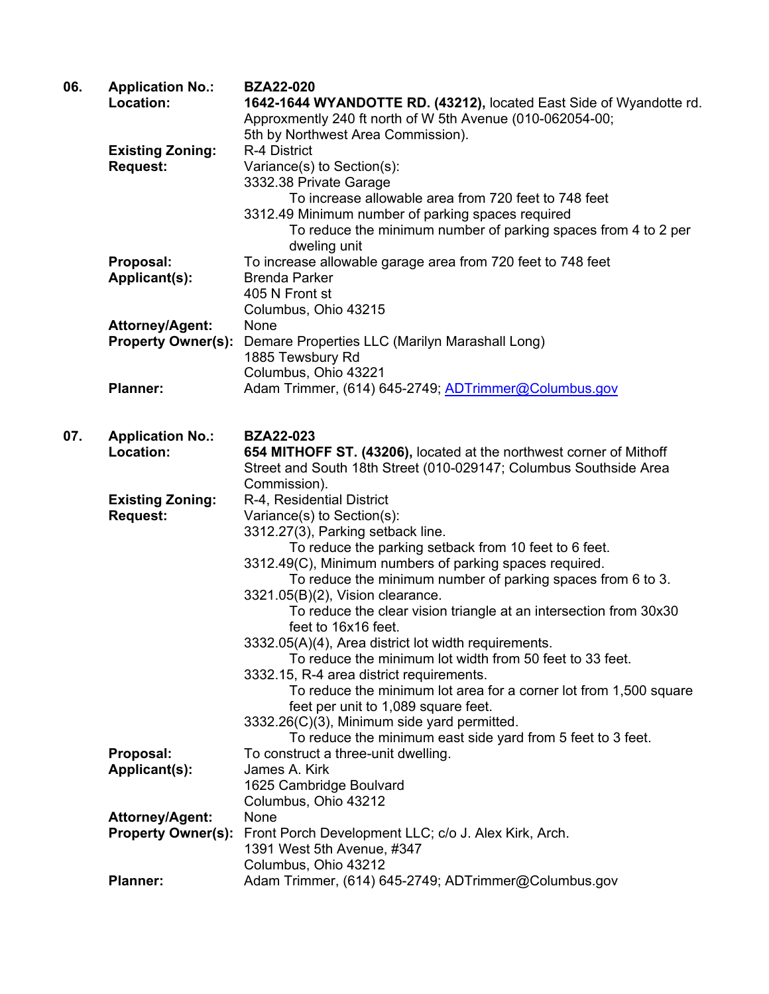| 06. | <b>Application No.:</b><br>Location: | <b>BZA22-020</b><br>1642-1644 WYANDOTTE RD. (43212), located East Side of Wyandotte rd.         |
|-----|--------------------------------------|-------------------------------------------------------------------------------------------------|
|     |                                      | Approxmently 240 ft north of W 5th Avenue (010-062054-00;<br>5th by Northwest Area Commission). |
|     | <b>Existing Zoning:</b>              | R-4 District                                                                                    |
|     | <b>Request:</b>                      | Variance(s) to Section(s):                                                                      |
|     |                                      | 3332.38 Private Garage                                                                          |
|     |                                      | To increase allowable area from 720 feet to 748 feet                                            |
|     |                                      | 3312.49 Minimum number of parking spaces required                                               |
|     |                                      | To reduce the minimum number of parking spaces from 4 to 2 per<br>dweling unit                  |
|     | Proposal:                            | To increase allowable garage area from 720 feet to 748 feet                                     |
|     | Applicant(s):                        | <b>Brenda Parker</b>                                                                            |
|     |                                      | 405 N Front st                                                                                  |
|     |                                      | Columbus, Ohio 43215                                                                            |
|     | <b>Attorney/Agent:</b>               | None                                                                                            |
|     | <b>Property Owner(s):</b>            | Demare Properties LLC (Marilyn Marashall Long)                                                  |
|     |                                      | 1885 Tewsbury Rd                                                                                |
|     |                                      | Columbus, Ohio 43221                                                                            |
|     | <b>Planner:</b>                      | Adam Trimmer, (614) 645-2749; ADTrimmer@Columbus.gov                                            |
| 07. | <b>Application No.:</b>              | <b>BZA22-023</b>                                                                                |
|     | Location:                            | 654 MITHOFF ST. (43206), located at the northwest corner of Mithoff                             |
|     |                                      | Street and South 18th Street (010-029147; Columbus Southside Area                               |
|     |                                      | Commission).                                                                                    |
|     | <b>Existing Zoning:</b>              | R-4, Residential District                                                                       |
|     | <b>Request:</b>                      | Variance(s) to Section(s):                                                                      |
|     |                                      | 3312.27(3), Parking setback line.                                                               |
|     |                                      | To reduce the parking setback from 10 feet to 6 feet.                                           |
|     |                                      | 3312.49(C), Minimum numbers of parking spaces required.                                         |
|     |                                      | To reduce the minimum number of parking spaces from 6 to 3.                                     |
|     |                                      | 3321.05(B)(2), Vision clearance.                                                                |
|     |                                      | To reduce the clear vision triangle at an intersection from 30x30<br>feet to 16x16 feet.        |
|     |                                      | 3332.05(A)(4), Area district lot width requirements.                                            |
|     |                                      | To reduce the minimum lot width from 50 feet to 33 feet.                                        |
|     |                                      | 3332.15, R-4 area district requirements.                                                        |
|     |                                      | To reduce the minimum lot area for a corner lot from 1,500 square                               |
|     |                                      | feet per unit to 1,089 square feet.                                                             |
|     |                                      | 3332.26(C)(3), Minimum side yard permitted.                                                     |
|     |                                      | To reduce the minimum east side yard from 5 feet to 3 feet.                                     |
|     | Proposal:                            | To construct a three-unit dwelling.                                                             |
|     | Applicant(s):                        | James A. Kirk                                                                                   |
|     |                                      | 1625 Cambridge Boulvard                                                                         |
|     |                                      | Columbus, Ohio 43212                                                                            |
|     | Attorney/Agent:                      | None                                                                                            |
|     | <b>Property Owner(s):</b>            | Front Porch Development LLC; c/o J. Alex Kirk, Arch.                                            |
|     |                                      | 1391 West 5th Avenue, #347<br>Columbus, Ohio 43212                                              |
|     | <b>Planner:</b>                      | Adam Trimmer, (614) 645-2749; ADTrimmer@Columbus.gov                                            |
|     |                                      |                                                                                                 |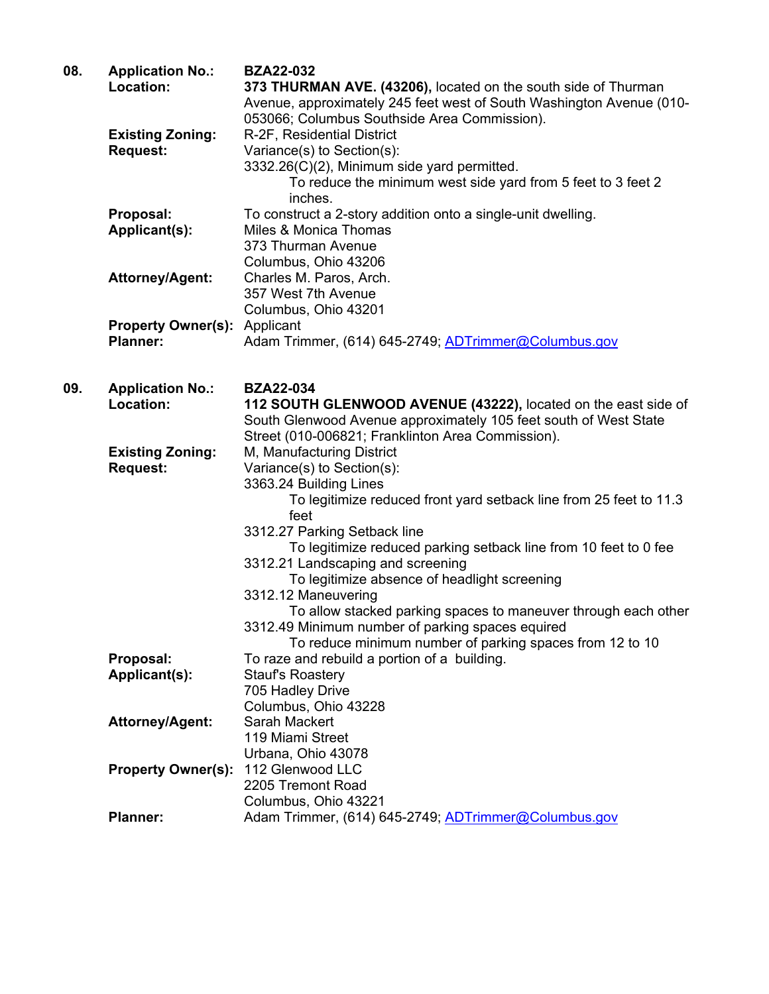| 08. | <b>Application No.:</b>   | <b>BZA22-032</b>                                                     |
|-----|---------------------------|----------------------------------------------------------------------|
|     | Location:                 | 373 THURMAN AVE. (43206), located on the south side of Thurman       |
|     |                           | Avenue, approximately 245 feet west of South Washington Avenue (010- |
|     |                           | 053066; Columbus Southside Area Commission).                         |
|     | <b>Existing Zoning:</b>   | R-2F, Residential District                                           |
|     | <b>Request:</b>           | Variance(s) to Section(s):                                           |
|     |                           | 3332.26(C)(2), Minimum side yard permitted.                          |
|     |                           | To reduce the minimum west side yard from 5 feet to 3 feet 2         |
|     |                           | inches.                                                              |
|     | Proposal:                 | To construct a 2-story addition onto a single-unit dwelling.         |
|     | Applicant(s):             | Miles & Monica Thomas                                                |
|     |                           | 373 Thurman Avenue                                                   |
|     |                           | Columbus, Ohio 43206                                                 |
|     | <b>Attorney/Agent:</b>    | Charles M. Paros, Arch.                                              |
|     |                           | 357 West 7th Avenue                                                  |
|     |                           | Columbus, Ohio 43201                                                 |
|     | <b>Property Owner(s):</b> | Applicant                                                            |
|     | <b>Planner:</b>           | Adam Trimmer, (614) 645-2749; ADTrimmer@Columbus.gov                 |
|     |                           |                                                                      |
|     |                           |                                                                      |
| 09. | <b>Application No.:</b>   | <b>BZA22-034</b>                                                     |
|     | Location:                 | 112 SOUTH GLENWOOD AVENUE (43222), located on the east side of       |
|     |                           | South Glenwood Avenue approximately 105 feet south of West State     |
|     |                           | Street (010-006821; Franklinton Area Commission).                    |
|     | <b>Existing Zoning:</b>   | M, Manufacturing District                                            |
|     | <b>Request:</b>           | Variance(s) to Section(s):                                           |
|     |                           | 3363.24 Building Lines                                               |
|     |                           | To legitimize reduced front yard setback line from 25 feet to 11.3   |
|     |                           | feet                                                                 |
|     |                           | 3312.27 Parking Setback line                                         |
|     |                           | To legitimize reduced parking setback line from 10 feet to 0 fee     |
|     |                           | 3312.21 Landscaping and screening                                    |
|     |                           | To legitimize absence of headlight screening                         |
|     |                           | 3312.12 Maneuvering                                                  |
|     |                           | To allow stacked parking spaces to maneuver through each other       |
|     |                           | 3312.49 Minimum number of parking spaces equired                     |
|     |                           | To reduce minimum number of parking spaces from 12 to 10             |
|     | Proposal:                 | To raze and rebuild a portion of a building.                         |
|     | Applicant(s):             | <b>Stauf's Roastery</b>                                              |
|     |                           | 705 Hadley Drive                                                     |
|     |                           | Columbus, Ohio 43228                                                 |
|     | <b>Attorney/Agent:</b>    | Sarah Mackert                                                        |
|     |                           | 119 Miami Street                                                     |
|     |                           | Urbana, Ohio 43078                                                   |
|     | <b>Property Owner(s):</b> | 112 Glenwood LLC                                                     |
|     |                           | 2205 Tremont Road                                                    |
|     |                           | Columbus, Ohio 43221                                                 |
|     | <b>Planner:</b>           | Adam Trimmer, (614) 645-2749; ADTrimmer@Columbus.gov                 |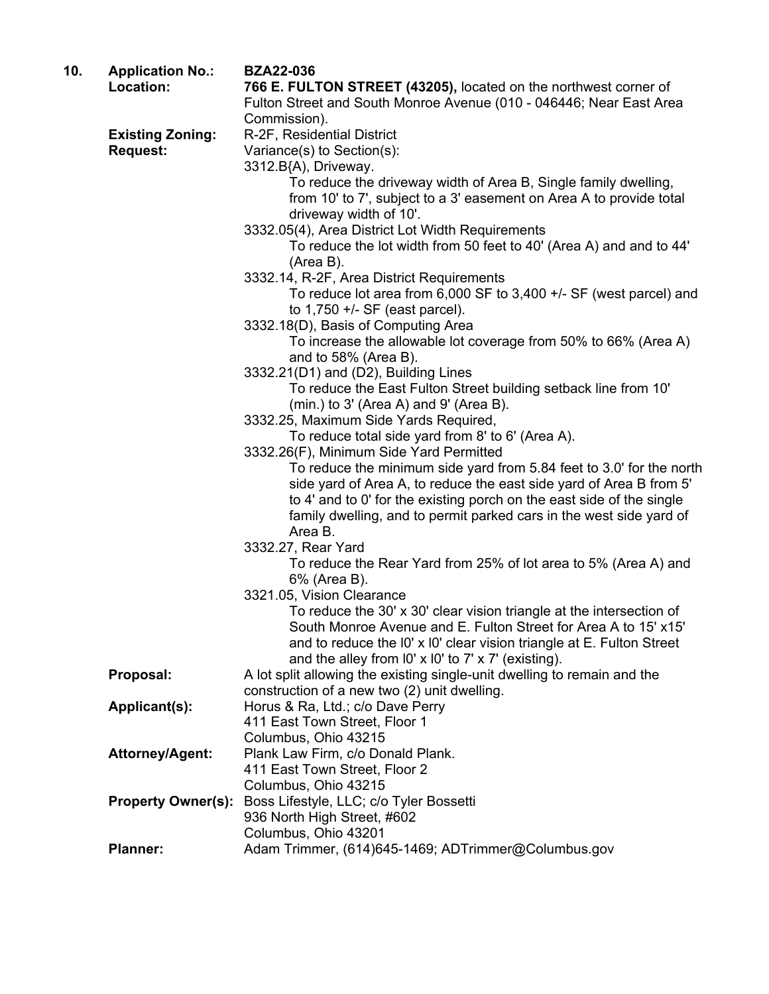| 10. | <b>Application No.:</b><br>Location: | <b>BZA22-036</b>                                                                                                                        |
|-----|--------------------------------------|-----------------------------------------------------------------------------------------------------------------------------------------|
|     |                                      | 766 E. FULTON STREET (43205), located on the northwest corner of<br>Fulton Street and South Monroe Avenue (010 - 046446; Near East Area |
|     |                                      | Commission).                                                                                                                            |
|     | <b>Existing Zoning:</b>              | R-2F, Residential District                                                                                                              |
|     | <b>Request:</b>                      | Variance(s) to Section(s):                                                                                                              |
|     |                                      | 3312.B{A), Driveway.                                                                                                                    |
|     |                                      | To reduce the driveway width of Area B, Single family dwelling,                                                                         |
|     |                                      | from 10' to 7', subject to a 3' easement on Area A to provide total                                                                     |
|     |                                      | driveway width of 10'.                                                                                                                  |
|     |                                      | 3332.05(4), Area District Lot Width Requirements                                                                                        |
|     |                                      | To reduce the lot width from 50 feet to 40' (Area A) and and to 44'<br>(Area B).                                                        |
|     |                                      | 3332.14, R-2F, Area District Requirements                                                                                               |
|     |                                      | To reduce lot area from $6,000$ SF to $3,400$ +/- SF (west parcel) and                                                                  |
|     |                                      | to $1,750 +/-$ SF (east parcel).                                                                                                        |
|     |                                      | 3332.18(D), Basis of Computing Area                                                                                                     |
|     |                                      | To increase the allowable lot coverage from 50% to 66% (Area A)                                                                         |
|     |                                      | and to $58\%$ (Area B).                                                                                                                 |
|     |                                      | 3332.21(D1) and (D2), Building Lines                                                                                                    |
|     |                                      | To reduce the East Fulton Street building setback line from 10'<br>$(min.)$ to 3' (Area A) and 9' (Area B).                             |
|     |                                      | 3332.25, Maximum Side Yards Required,                                                                                                   |
|     |                                      | To reduce total side yard from 8' to 6' (Area A).                                                                                       |
|     |                                      | 3332.26(F), Minimum Side Yard Permitted                                                                                                 |
|     |                                      | To reduce the minimum side yard from 5.84 feet to 3.0' for the north                                                                    |
|     |                                      | side yard of Area A, to reduce the east side yard of Area B from 5'                                                                     |
|     |                                      | to 4' and to 0' for the existing porch on the east side of the single                                                                   |
|     |                                      | family dwelling, and to permit parked cars in the west side yard of                                                                     |
|     |                                      | Area B.                                                                                                                                 |
|     |                                      | 3332.27, Rear Yard                                                                                                                      |
|     |                                      | To reduce the Rear Yard from 25% of lot area to 5% (Area A) and                                                                         |
|     |                                      | 6% (Area B).                                                                                                                            |
|     |                                      | 3321.05, Vision Clearance                                                                                                               |
|     |                                      | To reduce the 30' x 30' clear vision triangle at the intersection of<br>South Monroe Avenue and E. Fulton Street for Area A to 15' x15' |
|     |                                      | and to reduce the I0' x I0' clear vision triangle at E. Fulton Street                                                                   |
|     |                                      | and the alley from $10' \times 10'$ to $7' \times 7'$ (existing).                                                                       |
|     | Proposal:                            | A lot split allowing the existing single-unit dwelling to remain and the                                                                |
|     |                                      | construction of a new two (2) unit dwelling.                                                                                            |
|     | Applicant(s):                        | Horus & Ra, Ltd.; c/o Dave Perry                                                                                                        |
|     |                                      | 411 East Town Street, Floor 1                                                                                                           |
|     |                                      | Columbus, Ohio 43215                                                                                                                    |
|     | <b>Attorney/Agent:</b>               | Plank Law Firm, c/o Donald Plank.                                                                                                       |
|     |                                      | 411 East Town Street, Floor 2                                                                                                           |
|     |                                      | Columbus, Ohio 43215                                                                                                                    |
|     | <b>Property Owner(s):</b>            | Boss Lifestyle, LLC; c/o Tyler Bossetti                                                                                                 |
|     |                                      | 936 North High Street, #602                                                                                                             |
|     |                                      | Columbus, Ohio 43201                                                                                                                    |
|     | <b>Planner:</b>                      | Adam Trimmer, (614)645-1469; ADTrimmer@Columbus.gov                                                                                     |
|     |                                      |                                                                                                                                         |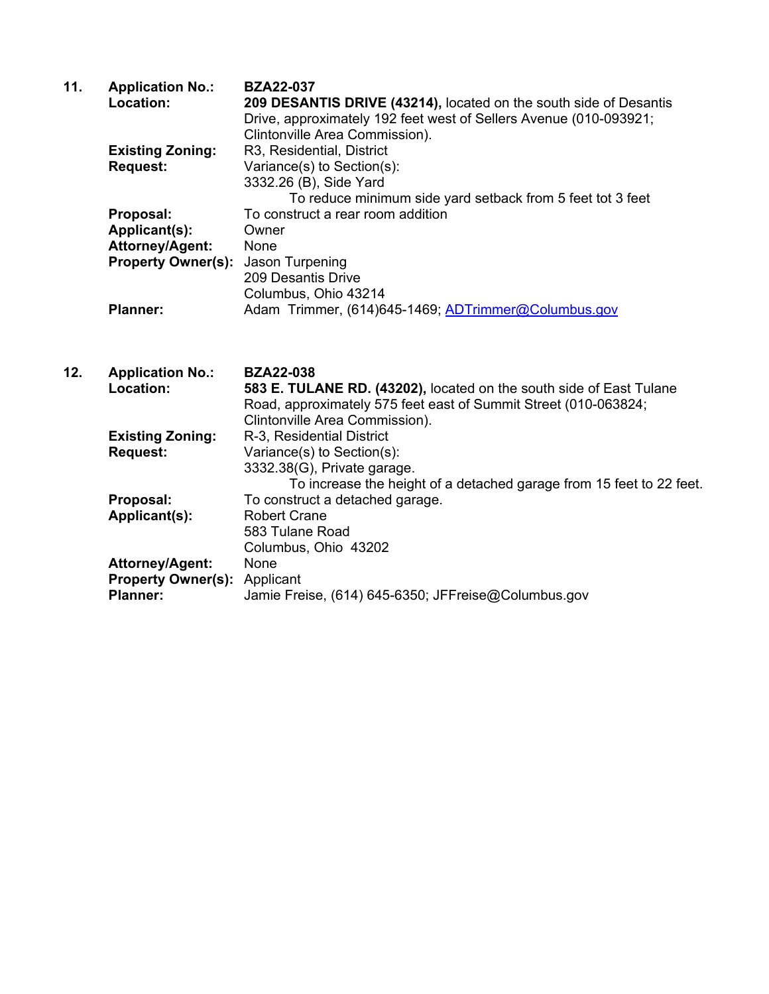| 11. | <b>Application No.:</b>   | <b>BZA22-037</b>                                                  |
|-----|---------------------------|-------------------------------------------------------------------|
|     | Location:                 | 209 DESANTIS DRIVE (43214), located on the south side of Desantis |
|     |                           | Drive, approximately 192 feet west of Sellers Avenue (010-093921; |
|     |                           | Clintonville Area Commission).                                    |
|     | <b>Existing Zoning:</b>   | R3, Residential, District                                         |
|     | <b>Request:</b>           | Variance(s) to Section(s):                                        |
|     |                           | 3332.26 (B), Side Yard                                            |
|     |                           | To reduce minimum side yard setback from 5 feet tot 3 feet        |
|     | Proposal:                 | To construct a rear room addition                                 |
|     | Applicant(s):             | Owner                                                             |
|     | <b>Attorney/Agent:</b>    | None                                                              |
|     | <b>Property Owner(s):</b> | Jason Turpening                                                   |
|     |                           | 209 Desantis Drive                                                |
|     |                           | Columbus, Ohio 43214                                              |
|     | <b>Planner:</b>           | Adam Trimmer, (614)645-1469; ADTrimmer@Columbus.gov               |
|     |                           |                                                                   |

| 12. | <b>Application No.:</b><br>Location: | <b>BZA22-038</b><br>583 E. TULANE RD. (43202), located on the south side of East Tulane<br>Road, approximately 575 feet east of Summit Street (010-063824;<br>Clintonville Area Commission). |
|-----|--------------------------------------|----------------------------------------------------------------------------------------------------------------------------------------------------------------------------------------------|
|     | <b>Existing Zoning:</b>              | R-3, Residential District                                                                                                                                                                    |
|     | <b>Request:</b>                      | Variance(s) to Section(s):                                                                                                                                                                   |
|     |                                      | 3332.38(G), Private garage.                                                                                                                                                                  |
|     |                                      | To increase the height of a detached garage from 15 feet to 22 feet.                                                                                                                         |
|     | Proposal:                            | To construct a detached garage.                                                                                                                                                              |
|     | Applicant(s):                        | <b>Robert Crane</b>                                                                                                                                                                          |
|     |                                      | 583 Tulane Road                                                                                                                                                                              |
|     |                                      | Columbus, Ohio 43202                                                                                                                                                                         |
|     | <b>Attorney/Agent:</b>               | None                                                                                                                                                                                         |
|     | <b>Property Owner(s): Applicant</b>  |                                                                                                                                                                                              |
|     | <b>Planner:</b>                      | Jamie Freise, (614) 645-6350; JFFreise@Columbus.gov                                                                                                                                          |